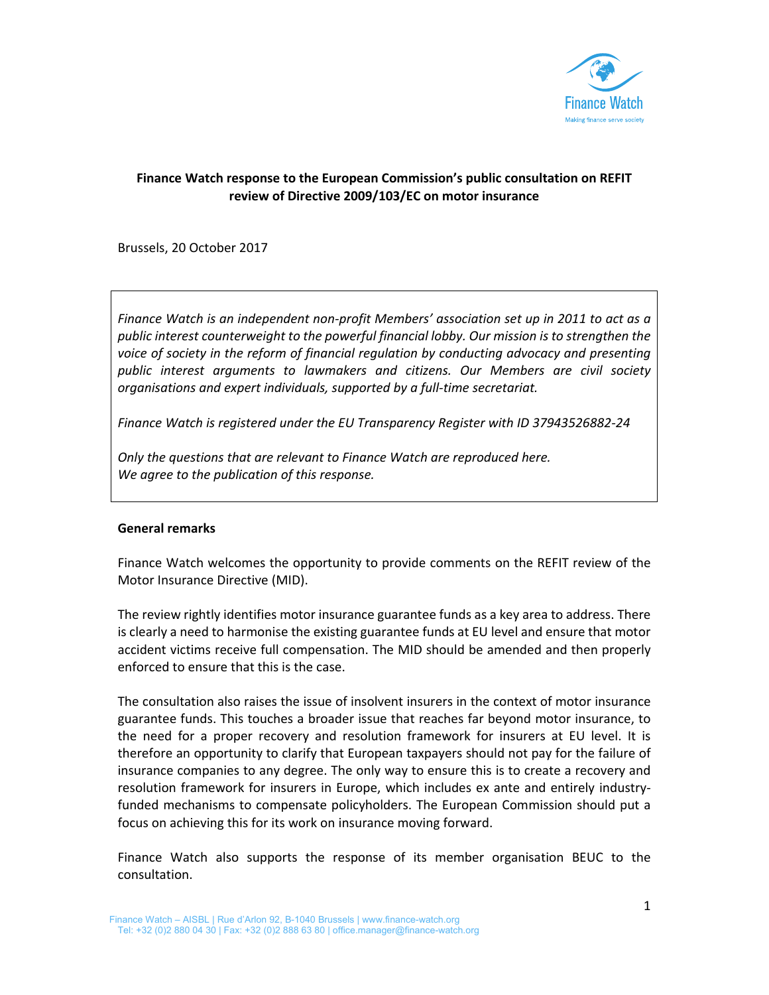

## **Finance Watch response to the European Commission's public consultation on REFIT review of Directive 2009/103/EC on motor insurance**

Brussels, 20 October 2017

*Finance Watch is an independent non‐profit Members' association set up in 2011 to act as a public interest counterweight to the powerful financial lobby. Our mission is to strengthen the voice of society in the reform of financial regulation by conducting advocacy and presenting public interest arguments to lawmakers and citizens. Our Members are civil society organisations and expert individuals, supported by a full‐time secretariat.* 

*Finance Watch is registered under the EU Transparency Register with ID 37943526882‐24* 

*Only the questions that are relevant to Finance Watch are reproduced here. We agree to the publication of this response.* 

## **General remarks**

Finance Watch welcomes the opportunity to provide comments on the REFIT review of the Motor Insurance Directive (MID).

The review rightly identifies motor insurance guarantee funds as a key area to address. There is clearly a need to harmonise the existing guarantee funds at EU level and ensure that motor accident victims receive full compensation. The MID should be amended and then properly enforced to ensure that this is the case.

The consultation also raises the issue of insolvent insurers in the context of motor insurance guarantee funds. This touches a broader issue that reaches far beyond motor insurance, to the need for a proper recovery and resolution framework for insurers at EU level. It is therefore an opportunity to clarify that European taxpayers should not pay for the failure of insurance companies to any degree. The only way to ensure this is to create a recovery and resolution framework for insurers in Europe, which includes ex ante and entirely industry‐ funded mechanisms to compensate policyholders. The European Commission should put a focus on achieving this for its work on insurance moving forward.

Finance Watch also supports the response of its member organisation BEUC to the consultation.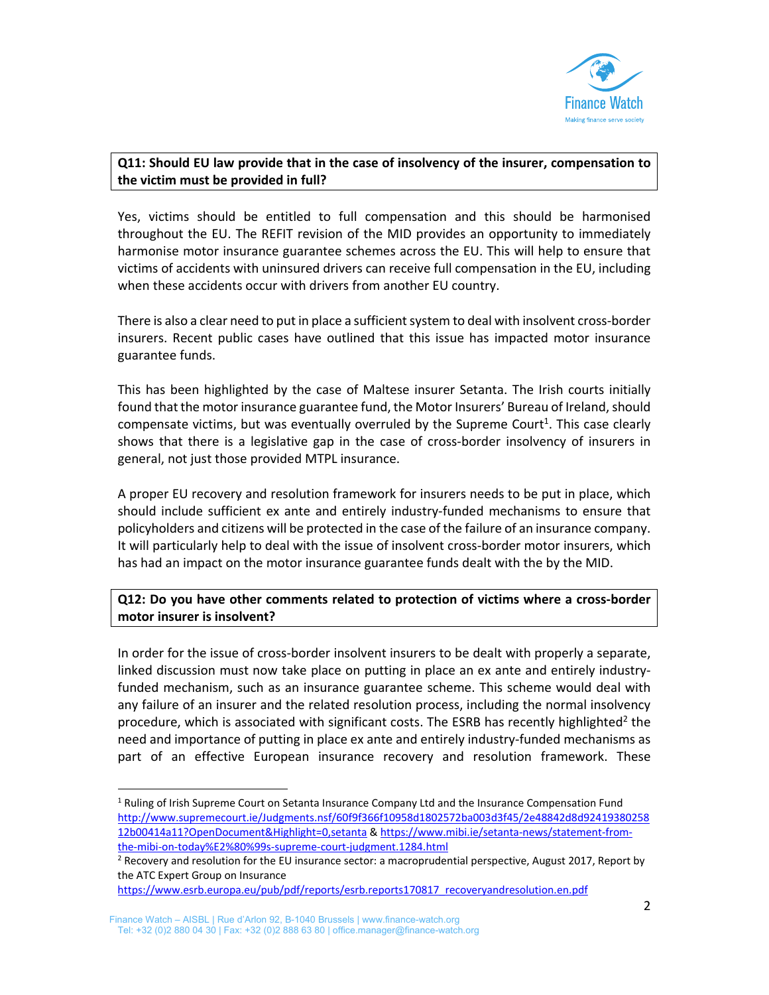

## **Q11: Should EU law provide that in the case of insolvency of the insurer, compensation to the victim must be provided in full?**

Yes, victims should be entitled to full compensation and this should be harmonised throughout the EU. The REFIT revision of the MID provides an opportunity to immediately harmonise motor insurance guarantee schemes across the EU. This will help to ensure that victims of accidents with uninsured drivers can receive full compensation in the EU, including when these accidents occur with drivers from another EU country.

There is also a clear need to put in place a sufficient system to deal with insolvent cross‐border insurers. Recent public cases have outlined that this issue has impacted motor insurance guarantee funds.

This has been highlighted by the case of Maltese insurer Setanta. The Irish courts initially found that the motor insurance guarantee fund, the Motor Insurers' Bureau of Ireland, should compensate victims, but was eventually overruled by the Supreme Court<sup>1</sup>. This case clearly shows that there is a legislative gap in the case of cross-border insolvency of insurers in general, not just those provided MTPL insurance.

A proper EU recovery and resolution framework for insurers needs to be put in place, which should include sufficient ex ante and entirely industry-funded mechanisms to ensure that policyholders and citizens will be protected in the case of the failure of an insurance company. It will particularly help to deal with the issue of insolvent cross‐border motor insurers, which has had an impact on the motor insurance guarantee funds dealt with the by the MID.

## **Q12: Do you have other comments related to protection of victims where a cross‐border motor insurer is insolvent?**

In order for the issue of cross‐border insolvent insurers to be dealt with properly a separate, linked discussion must now take place on putting in place an ex ante and entirely industry‐ funded mechanism, such as an insurance guarantee scheme. This scheme would deal with any failure of an insurer and the related resolution process, including the normal insolvency procedure, which is associated with significant costs. The ESRB has recently highlighted<sup>2</sup> the need and importance of putting in place ex ante and entirely industry‐funded mechanisms as part of an effective European insurance recovery and resolution framework. These

<sup>&</sup>lt;sup>1</sup> Ruling of Irish Supreme Court on Setanta Insurance Company Ltd and the Insurance Compensation Fund http://www.supremecourt.ie/Judgments.nsf/60f9f366f10958d1802572ba003d3f45/2e48842d8d92419380258 12b00414a11?OpenDocument&Highlight=0,setanta & https://www.mibi.ie/setanta‐news/statement‐from‐ the-mibi-on-today%E2%80%99s-supreme-court-judgment.1284.html

<sup>&</sup>lt;sup>2</sup> Recovery and resolution for the EU insurance sector: a macroprudential perspective, August 2017, Report by the ATC Expert Group on Insurance

https://www.esrb.europa.eu/pub/pdf/reports/esrb.reports170817\_recoveryandresolution.en.pdf